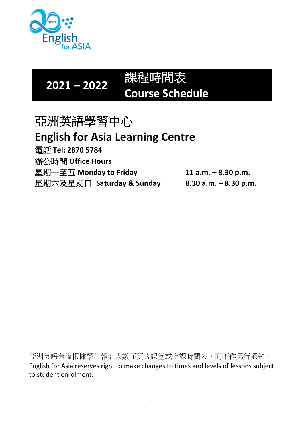

**2021 – 2022**

| 121 – 2022 | 課程時間表                  |
|------------|------------------------|
|            | <b>Course Schedule</b> |

| 亞洲英語學習中心                                |                 |
|-----------------------------------------|-----------------|
| <b>English for Asia Learning Centre</b> |                 |
| 雷話 Tel: 2870 5784                       |                 |
| 辦公時間 Office Hours                       |                 |
| 見邯一卒五 Mondov to Eridov                  | $11.2 m - 8.20$ |

| $\Box$ 举期一平五 IVIONOay to Friday | 11 a.m. – 8.30 p.m.                   |
|---------------------------------|---------------------------------------|
| 星期六及星期日 Saturday & Sunday       | $\frac{1}{2}$ 8.30 a.m. $-$ 8.30 p.m. |

亞洲英語有權根據學生報名人數而更改課堂或上課時間表,而不作另行通知。 English for Asia reserves right to make changes to times and levels of lessons subject to student enrolment.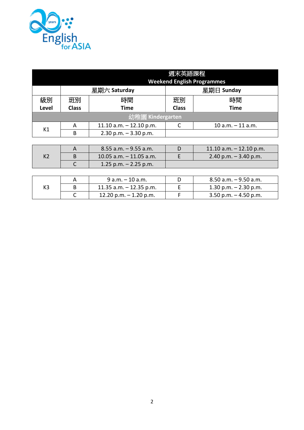

|                |              |                           | 週末英語課程       | <b>Weekend English Programmes</b> |
|----------------|--------------|---------------------------|--------------|-----------------------------------|
|                | 星期六 Saturday |                           |              | 星期日 Sunday                        |
| 級別             | 班別           | 時間                        | 班別           | 時間                                |
| Level          | <b>Class</b> | <b>Time</b>               | <b>Class</b> | <b>Time</b>                       |
|                |              | 幼稚園 Kindergarten          |              |                                   |
| K1             | A            | 11.10 $a.m. - 12.10 p.m.$ |              | $10 a.m. - 11 a.m.$               |
|                | B            | $2.30$ p.m. $-3.30$ p.m.  |              |                                   |
|                |              |                           |              |                                   |
|                | A            | $8.55$ a.m. $-9.55$ a.m.  | D            | 11.10 $a.m. - 12.10 p.m.$         |
| K <sub>2</sub> | B            | 10.05 $a.m. - 11.05 a.m.$ | E            | 2.40 p.m. $-$ 3.40 p.m.           |
|                |              | 1.25 p.m. $-$ 2.25 p.m.   |              |                                   |
|                |              |                           |              |                                   |

|    | $9a.m. - 10a.m.$           | 8.50 a.m. – 9.50 a.m.    |
|----|----------------------------|--------------------------|
| K3 | $11.35$ a.m. $-12.35$ p.m. | 1.30 p.m. $-$ 2.30 p.m.  |
|    | 12.20 p.m. $-$ 1.20 p.m.   | $3.50$ p.m. $-4.50$ p.m. |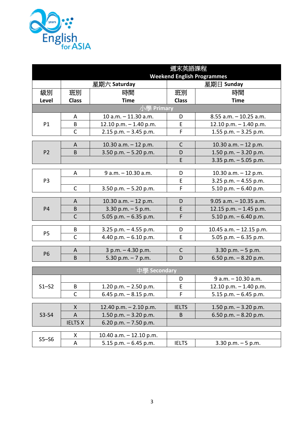

|                                          |                                                               |                                                                                                                                                                                                                                                                                | 週末英語課程                                |                                                                                                                                                                                                                                            |  |
|------------------------------------------|---------------------------------------------------------------|--------------------------------------------------------------------------------------------------------------------------------------------------------------------------------------------------------------------------------------------------------------------------------|---------------------------------------|--------------------------------------------------------------------------------------------------------------------------------------------------------------------------------------------------------------------------------------------|--|
|                                          | <b>Weekend English Programmes</b>                             |                                                                                                                                                                                                                                                                                |                                       |                                                                                                                                                                                                                                            |  |
|                                          |                                                               | 星期六 Saturday                                                                                                                                                                                                                                                                   |                                       | 星期日 Sunday                                                                                                                                                                                                                                 |  |
| 級別                                       | 班別                                                            | 時間                                                                                                                                                                                                                                                                             | 班別                                    | 時間                                                                                                                                                                                                                                         |  |
| Level                                    | <b>Class</b>                                                  | <b>Time</b>                                                                                                                                                                                                                                                                    | <b>Class</b>                          | <b>Time</b>                                                                                                                                                                                                                                |  |
|                                          |                                                               | 小學 Primary                                                                                                                                                                                                                                                                     |                                       |                                                                                                                                                                                                                                            |  |
|                                          | A                                                             | 10 a.m. - 11.30 a.m.                                                                                                                                                                                                                                                           | D                                     | $8.55$ a.m. $-10.25$ a.m.                                                                                                                                                                                                                  |  |
| P1                                       | B                                                             | 12.10 p.m. $-$ 1.40 p.m.                                                                                                                                                                                                                                                       | E                                     | 12.10 p.m. $-$ 1.40 p.m.                                                                                                                                                                                                                   |  |
|                                          | $\mathsf{C}$                                                  | $2.15$ p.m. $-3.45$ p.m.                                                                                                                                                                                                                                                       | F                                     | 1.55 p.m. $-$ 3.25 p.m.                                                                                                                                                                                                                    |  |
|                                          | A                                                             |                                                                                                                                                                                                                                                                                | $\mathsf{C}$                          |                                                                                                                                                                                                                                            |  |
| P <sub>2</sub>                           | B                                                             | 10.30 $a.m. - 12 p.m.$                                                                                                                                                                                                                                                         | D                                     | 10.30 $a.m. - 12 p.m.$                                                                                                                                                                                                                     |  |
|                                          |                                                               | 3.50 p.m. $-5.20$ p.m.                                                                                                                                                                                                                                                         | E                                     | 1.50 p.m. $-$ 3.20 p.m.<br>3.35 p.m. $-5.05$ p.m.                                                                                                                                                                                          |  |
|                                          |                                                               |                                                                                                                                                                                                                                                                                |                                       |                                                                                                                                                                                                                                            |  |
|                                          | A                                                             | $9 a.m. - 10.30 a.m.$                                                                                                                                                                                                                                                          | D                                     | 10.30 a.m. - 12 p.m.                                                                                                                                                                                                                       |  |
| P <sub>3</sub>                           |                                                               |                                                                                                                                                                                                                                                                                | Е                                     | 3.25 p.m. $-$ 4.55 p.m.                                                                                                                                                                                                                    |  |
|                                          | $\mathsf{C}$                                                  | 3.50 p.m. $-5.20$ p.m.                                                                                                                                                                                                                                                         | F                                     | 5.10 p.m. $-6.40$ p.m.                                                                                                                                                                                                                     |  |
|                                          |                                                               |                                                                                                                                                                                                                                                                                |                                       |                                                                                                                                                                                                                                            |  |
|                                          |                                                               |                                                                                                                                                                                                                                                                                |                                       |                                                                                                                                                                                                                                            |  |
|                                          |                                                               |                                                                                                                                                                                                                                                                                |                                       |                                                                                                                                                                                                                                            |  |
|                                          |                                                               |                                                                                                                                                                                                                                                                                |                                       |                                                                                                                                                                                                                                            |  |
|                                          | B                                                             | 3.25 p.m. $-$ 4.55 p.m.                                                                                                                                                                                                                                                        | D                                     | 10.45 a.m. $-$ 12.15 p.m.                                                                                                                                                                                                                  |  |
|                                          | $\mathsf{C}$                                                  | 4.40 p.m. - 6.10 p.m.                                                                                                                                                                                                                                                          | E                                     | 5.05 p.m. $-6.35$ p.m.                                                                                                                                                                                                                     |  |
|                                          |                                                               |                                                                                                                                                                                                                                                                                |                                       |                                                                                                                                                                                                                                            |  |
| <b>P6</b>                                |                                                               |                                                                                                                                                                                                                                                                                |                                       |                                                                                                                                                                                                                                            |  |
|                                          |                                                               |                                                                                                                                                                                                                                                                                |                                       |                                                                                                                                                                                                                                            |  |
|                                          |                                                               |                                                                                                                                                                                                                                                                                |                                       |                                                                                                                                                                                                                                            |  |
|                                          |                                                               |                                                                                                                                                                                                                                                                                | D                                     |                                                                                                                                                                                                                                            |  |
|                                          | B                                                             |                                                                                                                                                                                                                                                                                | E                                     |                                                                                                                                                                                                                                            |  |
|                                          | C                                                             |                                                                                                                                                                                                                                                                                | F                                     |                                                                                                                                                                                                                                            |  |
|                                          |                                                               |                                                                                                                                                                                                                                                                                |                                       |                                                                                                                                                                                                                                            |  |
|                                          | X                                                             | 12.40 p.m. $- 2.10$ p.m.                                                                                                                                                                                                                                                       | <b>IELTS</b>                          | 1.50 p.m. $-$ 3.20 p.m.                                                                                                                                                                                                                    |  |
| $S3-S4$                                  | A                                                             | 1.50 p.m. $-$ 3.20 p.m.                                                                                                                                                                                                                                                        | B                                     | 6.50 p.m. $-8.20$ p.m.                                                                                                                                                                                                                     |  |
|                                          |                                                               |                                                                                                                                                                                                                                                                                |                                       |                                                                                                                                                                                                                                            |  |
|                                          |                                                               |                                                                                                                                                                                                                                                                                |                                       |                                                                                                                                                                                                                                            |  |
| $S5 - S6$                                |                                                               |                                                                                                                                                                                                                                                                                |                                       |                                                                                                                                                                                                                                            |  |
| <b>P4</b><br>P <sub>5</sub><br>$S1 - S2$ | A<br>B<br>$\mathsf{C}$<br>A<br>B<br><b>IELTS X</b><br>X.<br>A | 10.30 $a.m. - 12 p.m.$<br>$3.30$ p.m. $-5$ p.m.<br>5.05 p.m. $-6.35$ p.m.<br>$3 p.m. - 4.30 p.m.$<br>5.30 p.m. $-7$ p.m.<br>中學 Secondary<br>1.20 p.m. $-$ 2.50 p.m.<br>6.45 p.m. $-8.15$ p.m.<br>6.20 p.m. $-7.50$ p.m.<br>10.40 a.m. $-$ 12.10 p.m.<br>5.15 p.m. $-6.45$ p.m. | D<br>E<br>F<br>C<br>D<br><b>IELTS</b> | $9.05$ a.m. $-10.35$ a.m.<br>12.15 p.m. $-$ 1.45 p.m.<br>5.10 p.m. $-6.40$ p.m.<br>$3.30$ p.m. $-5$ p.m.<br>6.50 p.m. $-8.20$ p.m.<br>$9 a.m. - 10.30 a.m.$<br>12.10 p.m. $-$ 1.40 p.m.<br>5.15 p.m. $-6.45$ p.m.<br>$3.30$ p.m. $-5$ p.m. |  |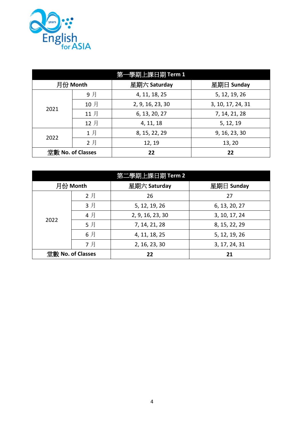

|                   | 第一學期上課日期 Term 1 |                  |                   |  |  |
|-------------------|-----------------|------------------|-------------------|--|--|
| 月份 Month          |                 | 星期六 Saturday     | 星期日 Sunday        |  |  |
|                   | 9月              | 4, 11, 18, 25    | 5, 12, 19, 26     |  |  |
| 2021              | 10月             | 2, 9, 16, 23, 30 | 3, 10, 17, 24, 31 |  |  |
|                   | 11月             | 6, 13, 20, 27    | 7, 14, 21, 28     |  |  |
|                   | 12月             | 4, 11, 18        | 5, 12, 19         |  |  |
|                   | 1月              | 8, 15, 22, 29    | 9, 16, 23, 30     |  |  |
| 2022              | 2月              | 12, 19           | 13, 20            |  |  |
| 堂數 No. of Classes |                 | 22               | 22                |  |  |

|                   | 第二學期上課日期 Term 2 |                  |               |  |  |
|-------------------|-----------------|------------------|---------------|--|--|
| 月份 Month          |                 | 星期六 Saturday     | 星期日 Sunday    |  |  |
|                   | 2月              | 26               | 27            |  |  |
|                   | 3月              | 5, 12, 19, 26    | 6, 13, 20, 27 |  |  |
| 2022              | 4月              | 2, 9, 16, 23, 30 | 3, 10, 17, 24 |  |  |
|                   | 5月              | 7, 14, 21, 28    | 8, 15, 22, 29 |  |  |
|                   | 6月              | 4, 11, 18, 25    | 5, 12, 19, 26 |  |  |
|                   | 7月              | 2, 16, 23, 30    | 3, 17, 24, 31 |  |  |
| 堂數 No. of Classes |                 | 22               | 21            |  |  |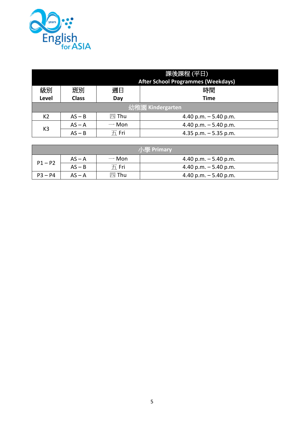

| 課後課程 (平日)<br><b>After School Programmes (Weekdays)</b> |                  |                                |                        |
|--------------------------------------------------------|------------------|--------------------------------|------------------------|
| 級別                                                     | 班別               | 週日                             | 時間                     |
| <b>Level</b>                                           | <b>Class</b>     | Day                            | Time                   |
|                                                        | 幼稚園 Kindergarten |                                |                        |
| K <sub>2</sub>                                         | $AS - B$         | 四 Thu                          | 4.40 p.m. $-5.40$ p.m. |
| K <sub>3</sub>                                         | $AS - A$         | $\rightarrow$ Mon              | 4.40 p.m. $-5.40$ p.m. |
|                                                        | $AS - B$         | $\overline{\mathcal{H}}$ . Fri | 4.35 p.m. $-5.35$ p.m. |

| 小學 Primary |          |                                |                        |  |
|------------|----------|--------------------------------|------------------------|--|
| $P1 - P2$  | $AS - A$ | $\rightarrow$ Mon              | 4.40 p.m. $-5.40$ p.m. |  |
|            | $AS - B$ | $\overline{\mathcal{H}}$ . Fri | 4.40 p.m. $-5.40$ p.m. |  |
| $P3 - P4$  | $AS - A$ | 四 Thu                          | 4.40 p.m. $-5.40$ p.m. |  |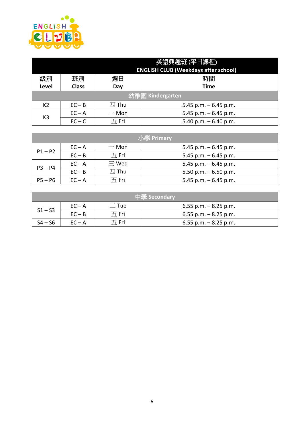

| 英語興趣班 (平日課程)<br><b>ENGLISH CLUB (Weekdays after school)</b> |              |                                |                        |
|-------------------------------------------------------------|--------------|--------------------------------|------------------------|
| 級別                                                          | 班別           | 週日                             | 時間                     |
| <b>Level</b>                                                | <b>Class</b> | Day                            | Time                   |
| 幼稚園 Kindergarten                                            |              |                                |                        |
| K <sub>2</sub>                                              | $EC - B$     | 四 Thu                          | 5.45 p.m. $-6.45$ p.m. |
| K <sub>3</sub>                                              | $EC - A$     | $\rightarrow$ Mon              | 5.45 p.m. $-6.45$ p.m. |
|                                                             | $EC - C$     | $\overline{\mathcal{H}}$ . Fri | 5.40 p.m. $-6.40$ p.m. |

| /小學 Primary |          |                                |                        |
|-------------|----------|--------------------------------|------------------------|
| $P1 - P2$   | $EC - A$ | $-$ Mon                        | 5.45 p.m. $-6.45$ p.m. |
|             | $EC - B$ | $\overline{\mathcal{H}}$ . Fri | 5.45 p.m. $-6.45$ p.m. |
| $P3 - P4$   | $EC - A$ | $\equiv$ Wed                   | 5.45 p.m. $-6.45$ p.m. |
|             | $EC - B$ | 四 Thu                          | 5.50 p.m. $-6.50$ p.m. |
| $P5 - P6$   | $EC - A$ | $\overline{\mathcal{H}}$ . Fri | 5.45 p.m. $-6.45$ p.m. |

| 生學 Secondary |          |                      |                          |  |  |
|--------------|----------|----------------------|--------------------------|--|--|
| $S1 - S3$    | $EC - A$ | $\sqsubset$ Tue      | $6.55$ p.m. $-8.25$ p.m. |  |  |
|              | $EC - B$ | $H$ Fri              | $6.55$ p.m. $-8.25$ p.m. |  |  |
| $S4 - S6$    | $EC - A$ | $\overline{\pi}$ Fri | $6.55$ p.m. $-8.25$ p.m. |  |  |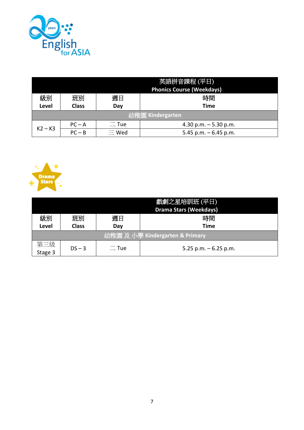

| 英語拼音課程(平日)<br><b>Phonics Course (Weekdays)</b> |                  |                    |                        |  |  |  |  |
|------------------------------------------------|------------------|--------------------|------------------------|--|--|--|--|
| 級別<br>時間<br>週日<br>班別                           |                  |                    |                        |  |  |  |  |
| Level                                          | <b>Class</b>     | <b>Time</b><br>Day |                        |  |  |  |  |
|                                                | 幼稚園 Kindergarten |                    |                        |  |  |  |  |
| $K2 - K3$                                      | $PC - A$         | $\equiv$ Tue       | 4.30 p.m. $-5.30$ p.m. |  |  |  |  |
|                                                | $PC - B$         | $\equiv$ Wed       | 5.45 p.m. $-6.45$ p.m. |  |  |  |  |



|                | 戲劇之星培訓班 (平日) |             |                                 |  |  |  |
|----------------|--------------|-------------|---------------------------------|--|--|--|
|                |              |             | <b>Drama Stars (Weekdays)</b>   |  |  |  |
| 級別             | 班別           | 週日          | 時間                              |  |  |  |
| Level          | <b>Class</b> | Time<br>Dav |                                 |  |  |  |
|                |              |             | 幼稚園 及 小學 Kindergarten & Primary |  |  |  |
| 第三級<br>Stage 3 | $DS - 3$     | $\Box$ Tue  | 5.25 p.m. $-6.25$ p.m.          |  |  |  |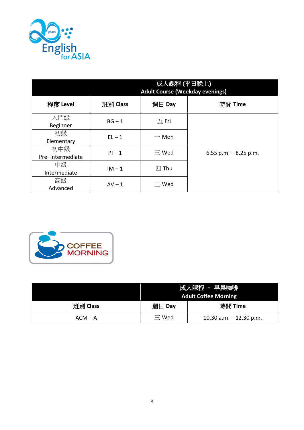

|                  | 成人課程 (平日晚上)<br><b>Adult Course (Weekday evenings)</b> |                                |                         |  |  |  |
|------------------|-------------------------------------------------------|--------------------------------|-------------------------|--|--|--|
| 程度 Level         | 班別 Class                                              | 週日 Day                         | 時間 Time                 |  |  |  |
| 入門級              | $BG - 1$                                              | $\overline{\mathcal{H}}$ . Fri |                         |  |  |  |
| Beginner         |                                                       |                                |                         |  |  |  |
| 初級               | $EL-1$                                                | $\rightarrow$ Mon              | 6.55 p.m. $-$ 8.25 p.m. |  |  |  |
| Elementary       |                                                       |                                |                         |  |  |  |
| 初中級              | $Pl-1$                                                | $\equiv$ Wed                   |                         |  |  |  |
| Pre-intermediate |                                                       |                                |                         |  |  |  |
| 中級               | $IM - 1$                                              | 四 Thu                          |                         |  |  |  |
| Intermediate     |                                                       |                                |                         |  |  |  |
| 高級               | $AV - 1$                                              | $\equiv$ Wed                   |                         |  |  |  |
| Advanced         |                                                       |                                |                         |  |  |  |



|           | 成人課程 - 早晨咖啡                 |                           |  |  |  |
|-----------|-----------------------------|---------------------------|--|--|--|
|           | <b>Adult Coffee Morning</b> |                           |  |  |  |
| 班別 Class  | 週日 Day                      | 時間 Time                   |  |  |  |
| $ACM - A$ | $\equiv$ Wed                | 10.30 a.m. $-$ 12.30 p.m. |  |  |  |